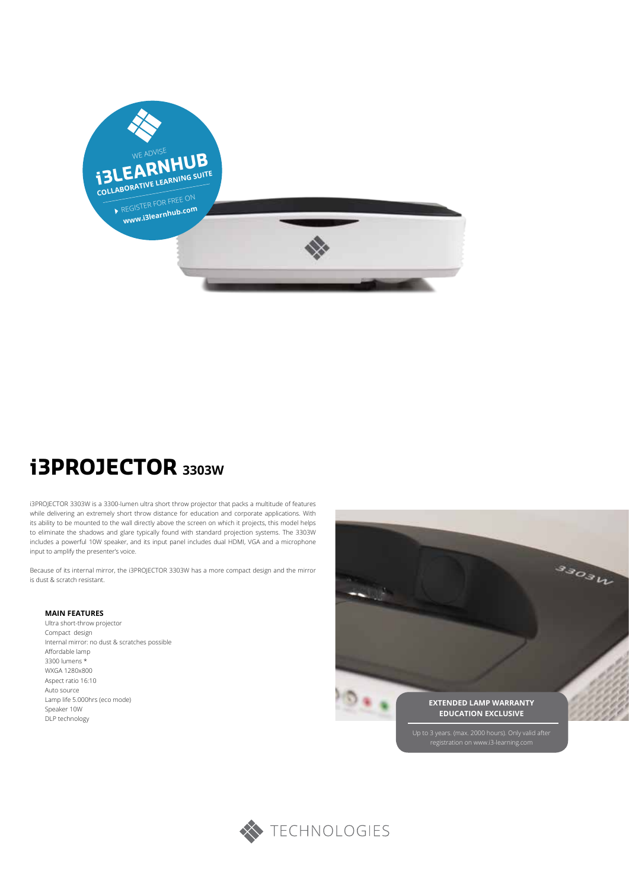

# **i3PROJECTOR 3303W**

i3PROJECTOR 3303W is a 3300-lumen ultra short throw projector that packs a multitude of features while delivering an extremely short throw distance for education and corporate applications. With its ability to be mounted to the wall directly above the screen on which it projects, this model helps to eliminate the shadows and glare typically found with standard projection systems. The 3303W includes a powerful 10W speaker, and its input panel includes dual HDMI, VGA and a microphone input to amplify the presenter's voice.

Because of its internal mirror, the i3PROJECTOR 3303W has a more compact design and the mirror is dust & scratch resistant.

#### **MAIN FEATURES**

Ultra short-throw projector Compact design Internal mirror: no dust & scratches possible Affordable lamp 3300 lumens \* WXGA 1280x800 Aspect ratio 16:10 Auto source Lamp life 5.000hrs (eco mode) Speaker 10W DLP technology